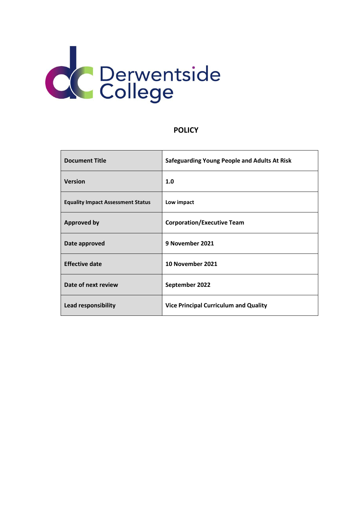

# **POLICY**

| <b>Document Title</b>                    | <b>Safeguarding Young People and Adults At Risk</b> |
|------------------------------------------|-----------------------------------------------------|
| <b>Version</b>                           | 1.0                                                 |
| <b>Equality Impact Assessment Status</b> | Low impact                                          |
| <b>Approved by</b>                       | <b>Corporation/Executive Team</b>                   |
| Date approved                            | 9 November 2021                                     |
| <b>Effective date</b>                    | 10 November 2021                                    |
| Date of next review                      | September 2022                                      |
| <b>Lead responsibility</b>               | <b>Vice Principal Curriculum and Quality</b>        |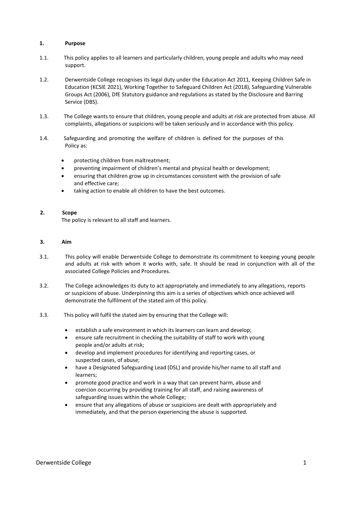# **1. Purpose**

- 1.1. This policy applies to all learners and particularly children, young people and adults who may need support.
- 1.2. Derwentside College recognises its legal duty under the Education Act 2011, Keeping Children Safe in Education (KCSIE 2021), Working Together to Safeguard Children Act (2018), Safeguarding Vulnerable Groups Act (2006), DfE Statutory guidance and regulations as stated by the Disclosure and Barring Service (DBS).
- 1.3. The College wants to ensure that children, young people and adults at risk are protected from abuse. All complaints, allegations or suspicions will be taken seriously and in accordance with this policy.
- 1.4. Safeguarding and promoting the welfare of children is defined for the purposes of this Policy as:
	- protecting children from maltreatment;
	- preventing impairment of children's mental and physical health or development;
	- ensuring that children grow up in circumstances consistent with the provision of safe and effective care;
	- taking action to enable all children to have the best outcomes.

# **2. Scope**

The policy is relevant to all staff and learners.

# **3. Aim**

- 3.1. This policy will enable Derwentside College to demonstrate its commitment to keeping young people and adults at risk with whom it works with, safe. It should be read in conjunction with all of the associated College Policies and Procedures.
- 3.2. The College acknowledges its duty to act appropriately and immediately to any allegations, reports or suspicions of abuse. Underpinning this aim is a series of objectives which once achieved will demonstrate the fulfilment of the stated aim of this policy.
- 3.3. This policy will fulfil the stated aim by ensuring that the College will:
	- establish a safe environment in which its learners can learn and develop;
	- ensure safe recruitment in checking the suitability of staff to work with young people and/or adults at risk;
	- develop and implement procedures for identifying and reporting cases, or suspected cases, of abuse;
	- have a Designated Safeguarding Lead (DSL) and provide his/her name to all staff and learners;
	- promote good practice and work in a way that can prevent harm, abuse and coercion occurring by providing training for all staff, and raising awareness of safeguarding issues within the whole College;
	- ensure that any allegations of abuse or suspicions are dealt with appropriately and immediately, and that the person experiencing the abuse is supported.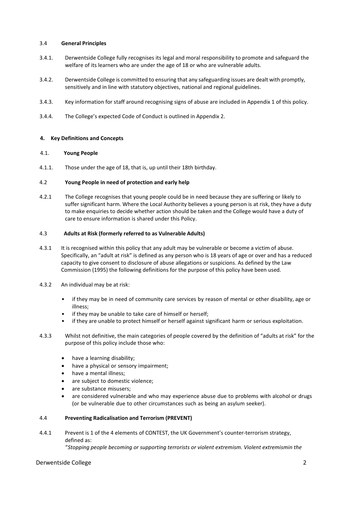# 3.4 **General Principles**

- 3.4.1. Derwentside College fully recognises its legal and moral responsibility to promote and safeguard the welfare of its learners who are under the age of 18 or who are vulnerable adults.
- 3.4.2. Derwentside College is committed to ensuring that any safeguarding issues are dealt with promptly, sensitively and in line with statutory objectives, national and regional guidelines.
- 3.4.3. Key information for staff around recognising signs of abuse are included in Appendix 1 of this policy.
- 3.4.4. The College's expected Code of Conduct is outlined in Appendix 2.

# **4. Key Definitions and Concepts**

# 4.1. **Young People**

4.1.1. Those under the age of 18, that is, up until their 18th birthday.

# 4.2 **Young People in need of protection and early help**

4.2.1 The College recognises that young people could be in need because they are suffering or likely to suffer significant harm. Where the Local Authority believes a young person is at risk, they have a duty to make enquiries to decide whether action should be taken and the College would have a duty of care to ensure information is shared under this Policy.

# 4.3 **Adults at Risk (formerly referred to as Vulnerable Adults)**

- 4.3.1 It is recognised within this policy that any adult may be vulnerable or become a victim of abuse. Specifically, an "adult at risk" is defined as any person who is 18 years of age or over and has a reduced capacity to give consent to disclosure of abuse allegations or suspicions. As defined by the Law Commission (1995) the following definitions for the purpose of this policy have been used.
- 4.3.2 An individual may be at risk:
	- if they may be in need of community care services by reason of mental or other disability, age or illness;
	- if they may be unable to take care of himself or herself;
	- if they are unable to protect himself or herself against significant harm or serious exploitation.
- 4.3.3 Whilst not definitive, the main categories of people covered by the definition of "adults at risk" for the purpose of this policy include those who:
	- have a learning disability;
	- have a physical or sensory impairment;
	- have a mental illness;
	- are subject to domestic violence;
	- are substance misusers;
	- are considered vulnerable and who may experience abuse due to problems with alcohol or drugs (or be vulnerable due to other circumstances such as being an asylum seeker).

### 4.4 **Preventing Radicalisation and Terrorism (PREVENT)**

4.4.1 Prevent is 1 of the 4 elements of CONTEST, the UK Government's counter-terrorism strategy, defined as:

"*Stopping people becoming or supporting terrorists or violent extremism. Violent extremismin the* 

# Derwentside College 2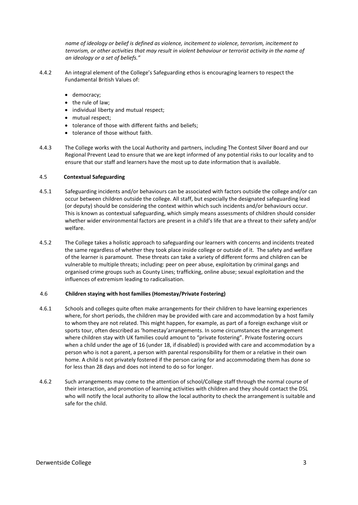*name of ideology or belief is defined as violence, incitement to violence, terrorism, incitement to terrorism, or other activities that may result in violent behaviour or terrorist activity in the name of an ideology or a set of beliefs."*

- 4.4.2 An integral element of the College's Safeguarding ethos is encouraging learners to respect the Fundamental British Values of:
	- democracy;
	- the rule of law;
	- individual liberty and mutual respect;
	- mutual respect:
	- tolerance of those with different faiths and beliefs;
	- tolerance of those without faith.
- 4.4.3 The College works with the Local Authority and partners, including The Contest Silver Board and our Regional Prevent Lead to ensure that we are kept informed of any potential risks to our locality and to ensure that our staff and learners have the most up to date information that is available.

# 4.5 **Contextual Safeguarding**

- 4.5.1 Safeguarding incidents and/or behaviours can be associated with factors outside the college and/or can occur between children outside the college. All staff, but especially the designated safeguarding lead (or deputy) should be considering the context within which such incidents and/or behaviours occur. This is known as contextual safeguarding, which simply means assessments of children should consider whether wider environmental factors are present in a child's life that are a threat to their safety and/or welfare.
- 4.5.2 The College takes a holistic approach to safeguarding our learners with concerns and incidents treated the same regardless of whether they took place inside college or outside of it. The safety and welfare of the learner is paramount. These threats can take a variety of different forms and children can be vulnerable to multiple threats; including: peer on peer abuse, exploitation by criminal gangs and organised crime groups such as County Lines; trafficking, online abuse; sexual exploitation and the influences of extremism leading to radicalisation.

# 4.6 **Children staying with host families (Homestay/Private Fostering)**

- 4.6.1 Schools and colleges quite often make arrangements for their children to have learning experiences where, for short periods, the children may be provided with care and accommodation by a host family to whom they are not related. This might happen, for example, as part of a foreign exchange visit or sports tour, often described as 'homestay'arrangements. In some circumstances the arrangement where children stay with UK families could amount to "private fostering". Private fostering occurs when a child under the age of 16 (under 18, if disabled) is provided with care and accommodation by a person who is not a parent, a person with parental responsibility for them or a relative in their own home. A child is not privately fostered if the person caring for and accommodating them has done so for less than 28 days and does not intend to do so for longer.
- 4.6.2 Such arrangements may come to the attention of school/College staff through the normal course of their interaction, and promotion of learning activities with children and they should contact the DSL who will notify the local authority to allow the local authority to check the arrangement is suitable and safe for the child.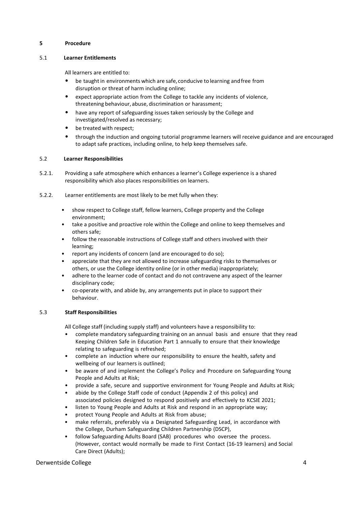# **5 Procedure**

# 5.1 **Learner Entitlements**

All learners are entitled to:

- be taught in environments which are safe, conducive to learning and free from disruption or threat of harm including online;
- expect appropriate action from the College to tackle any incidents of violence, threatening behaviour, abuse, discrimination or harassment;
- have any report of safeguarding issues taken seriously by the College and investigated/resolved as necessary;
- be treated with respect;
- through the induction and ongoing tutorial programme learners will receive guidance and are encouraged to adapt safe practices, including online, to help keep themselves safe.

# 5.2 **Learner Responsibilities**

- 5.2.1. Providing a safe atmosphere which enhances a learner's College experience is a shared responsibility which also places responsibilities on learners.
- 5.2.2. Learner entitlements are most likely to be met fully when they:
	- show respect to College staff, fellow learners, College property and the College environment;
	- take a positive and proactive role within the College and online to keep themselves and others safe;
	- follow the reasonable instructions of College staff and others involved with their learning;
	- report any incidents of concern (and are encouraged to do so);
	- appreciate that they are not allowed to increase safeguarding risks to themselves or others, or use the College identity online (or in other media) inappropriately;
	- adhere to the learner code of contact and do not contravene any aspect of the learner disciplinary code;
	- co-operate with, and abide by, any arrangements put in place to support their behaviour.

# 5.3 **Staff Responsibilities**

All College staff (including supply staff) and volunteers have a responsibility to:

- complete mandatory safeguarding training on an annual basis and ensure that they read Keeping Children Safe in Education Part 1 annually to ensure that their knowledge relating to safeguarding is refreshed;
- complete an induction where our responsibility to ensure the health, safety and wellbeing of our learners is outlined;
- be aware of and implement the College's Policy and Procedure on Safeguarding Young People and Adults at Risk;
- provide a safe, secure and supportive environment for Young People and Adults at Risk;
- abide by the College Staff code of conduct (Appendix 2 of this policy) and associated policies designed to respond positively and effectively to KCSIE 2021;
- listen to Young People and Adults at Risk and respond in an appropriate way;
- protect Young People and Adults at Risk from abuse;
- make referrals, preferably via a Designated Safeguarding Lead, in accordance with the College, Durham Safeguarding Children Partnership (DSCP),
- follow Safeguarding Adults Board (SAB) procedures who oversee the process. (However, contact would normally be made to First Contact (16-19 learners) and Social Care Direct (Adults);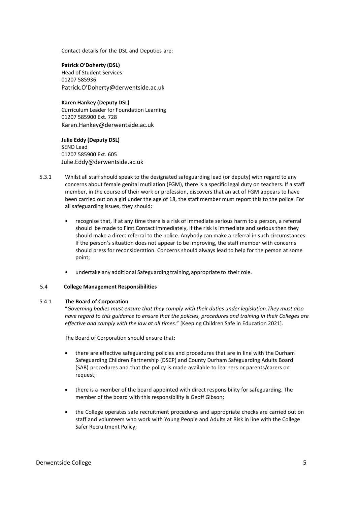Contact details for the DSL and Deputies are:

# **Patrick O'Doherty (DSL)**

Head of Student Services 01207 585936 [Patrick.O'Doherty@derwentside.ac.uk](mailto:patrick.odoherty@derwentside.ac.uk)

# **Karen Hankey (Deputy DSL)**

Curriculum Leader for Foundation Learning 01207 585900 Ext. 728 [Karen.Hankey@derwentside.ac.uk](mailto:Karen.Hankey@derwentside.ac.uk)

# **Julie Eddy (Deputy DSL)** SEND Lead 01207 585900 Ext. 605 [Julie.Eddy@derwentside.ac.uk](mailto:Julie.Eddy@derwentside.ac.uk)

- 5.3.1 Whilst all staff should speak to the designated safeguarding lead (or deputy) with regard to any concerns about female genital mutilation (FGM), there is a specific legal duty on teachers. If a staff member, in the course of their work or profession, discovers that an act of FGM appears to have been carried out on a girl under the age of 18, the staff member must report this to the police. For all safeguarding issues, they should:
	- recognise that, if at any time there is a risk of immediate serious harm to a person, a referral should be made to First Contact immediately, if the risk is immediate and serious then they should make a direct referral to the police. Anybody can make a referral in such circumstances. If the person's situation does not appear to be improving, the staff member with concerns should press for reconsideration. Concerns should always lead to help for the person at some point;
	- undertake any additional Safeguarding training, appropriate to their role.

# 5.4 **College Management Responsibilities**

# 5.4.1 **The Board of Corporation**

"*Governing bodies must ensure that they comply with their duties under legislation.They must also have regard to this guidance to ensure that the policies, procedures and training in their Colleges are effective and comply with the law at all times*." [Keeping Children Safe in Education 2021].

The Board of Corporation should ensure that:

- there are effective safeguarding policies and procedures that are in line with the Durham Safeguarding Children Partnership (DSCP) and County Durham Safeguarding Adults Board (SAB) procedures and that the policy is made available to learners or parents/carers on request;
- there is a member of the board appointed with direct responsibility for safeguarding. The member of the board with this responsibility is Geoff Gibson;
- the College operates safe recruitment procedures and appropriate checks are carried out on staff and volunteers who work with Young People and Adults at Risk in line with the College Safer Recruitment Policy;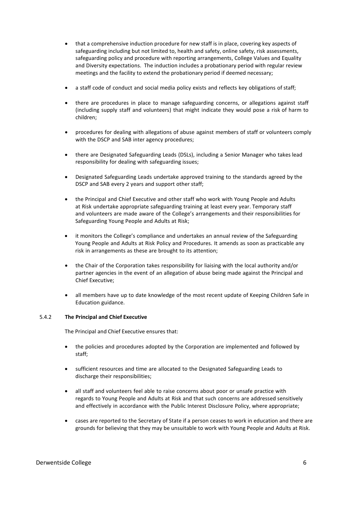- that a comprehensive induction procedure for new staff is in place, covering key aspects of safeguarding including but not limited to, health and safety, online safety, risk assessments, safeguarding policy and procedure with reporting arrangements, College Values and Equality and Diversity expectations. The induction includes a probationary period with regular review meetings and the facility to extend the probationary period if deemed necessary;
- a staff code of conduct and social media policy exists and reflects key obligations of staff;
- there are procedures in place to manage safeguarding concerns, or allegations against staff (including supply staff and volunteers) that might indicate they would pose a risk of harm to children;
- procedures for dealing with allegations of abuse against members of staff or volunteers comply with the DSCP and SAB inter agency procedures;
- there are Designated Safeguarding Leads (DSLs), including a Senior Manager who takes lead responsibility for dealing with safeguarding issues;
- Designated Safeguarding Leads undertake approved training to the standards agreed by the DSCP and SAB every 2 years and support other staff;
- the Principal and Chief Executive and other staff who work with Young People and Adults at Risk undertake appropriate safeguarding training at least every year. Temporary staff and volunteers are made aware of the College's arrangements and their responsibilities for Safeguarding Young People and Adults at Risk;
- it monitors the College's compliance and undertakes an annual review of the Safeguarding Young People and Adults at Risk Policy and Procedures. It amends as soon as practicable any risk in arrangements as these are brought to its attention;
- the Chair of the Corporation takes responsibility for liaising with the local authority and/or partner agencies in the event of an allegation of abuse being made against the Principal and Chief Executive;
- all members have up to date knowledge of the most recent update of Keeping Children Safe in Education guidance.

# 5.4.2 **The Principal and Chief Executive**

The Principal and Chief Executive ensures that:

- the policies and procedures adopted by the Corporation are implemented and followed by staff;
- sufficient resources and time are allocated to the Designated Safeguarding Leads to discharge their responsibilities;
- all staff and volunteers feel able to raise concerns about poor or unsafe practice with regards to Young People and Adults at Risk and that such concerns are addressed sensitively and effectively in accordance with the Public Interest Disclosure Policy, where appropriate;
- cases are reported to the Secretary of State if a person ceases to work in education and there are grounds for believing that they may be unsuitable to work with Young People and Adults at Risk.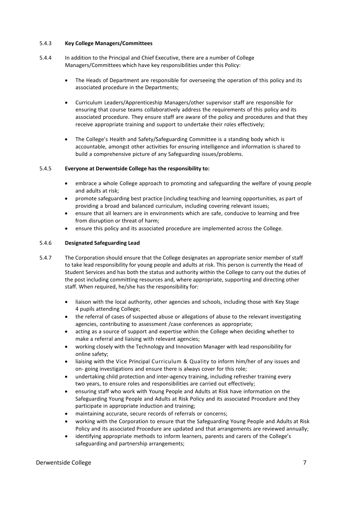# 5.4.3 **Key College Managers/Committees**

- 5.4.4 In addition to the Principal and Chief Executive, there are a number of College Managers/Committees which have key responsibilities under this Policy:
	- The Heads of Department are responsible for overseeing the operation of this policy and its associated procedure in the Departments;
	- Curriculum Leaders/Apprenticeship Managers/other supervisor staff are responsible for ensuring that course teams collaboratively address the requirements of this policy and its associated procedure. They ensure staff are aware of the policy and procedures and that they receive appropriate training and support to undertake their roles effectively;
	- The College's Health and Safety/Safeguarding Committee is a standing body which is accountable, amongst other activities for ensuring intelligence and information is shared to build a comprehensive picture of any Safeguarding issues/problems.

# 5.4.5 **Everyone at Derwentside College has the responsibility to:**

- embrace a whole College approach to promoting and safeguarding the welfare of young people and adults at risk;
- promote safeguarding best practice (including teaching and learning opportunities, as part of providing a broad and balanced curriculum, including covering relevant issues;
- ensure that all learners are in environments which are safe, conducive to learning and free from disruption or threat of harm;
- ensure this policy and its associated procedure are implemented across the College.

# 5.4.6 **Designated Safeguarding Lead**

- 5.4.7 The Corporation should ensure that the College designates an appropriate senior member of staff to take lead responsibility for young people and adults at risk. This person is currently the Head of Student Services and has both the status and authority within the College to carry out the duties of the post including committing resources and, where appropriate, supporting and directing other staff. When required, he/she has the responsibility for:
	- liaison with the local authority, other agencies and schools, including those with Key Stage 4 pupils attending College;
	- the referral of cases of suspected abuse or allegations of abuse to the relevant investigating agencies, contributing to assessment /case conferences as appropriate;
	- acting as a source of support and expertise within the College when deciding whether to make a referral and liaising with relevant agencies;
	- working closely with the Technology and Innovation Manager with lead responsibility for online safety;
	- liaising with the Vice Principal Curriculum & Quality to inform him/her of any issues and on- going investigations and ensure there is always cover for this role;
	- undertaking child protection and inter-agency training, including refresher training every two years, to ensure roles and responsibilities are carried out effectively;
	- ensuring staff who work with Young People and Adults at Risk have information on the Safeguarding Young People and Adults at Risk Policy and its associated Procedure and they participate in appropriate induction and training;
	- maintaining accurate, secure records of referrals or concerns;
	- working with the Corporation to ensure that the Safeguarding Young People and Adults at Risk Policy and its associated Procedure are updated and that arrangements are reviewed annually;
	- identifying appropriate methods to inform learners, parents and carers of the College's safeguarding and partnership arrangements;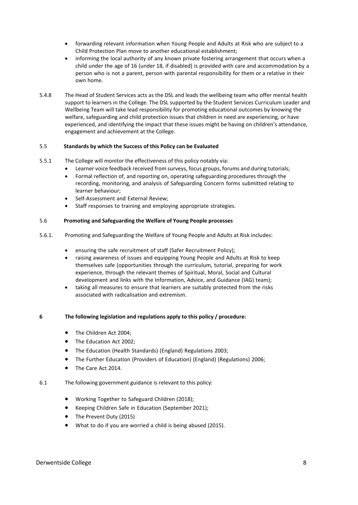- forwarding relevant information when Young People and Adults at Risk who are subject to a Child Protection Plan move to another educational establishment;
- informing the local authority of any known private fostering arrangement that occurs when a child under the age of 16 (under 18, if disabled) is provided with care and accommodation by a person who is not a parent, person with parental responsibility for them or a relative in their own home.
- 5.4.8 The Head of Student Services acts as the DSL and leads the wellbeing team who offer mental health support to learners in the College. The DSL supported by the Student Services Curriculum Leader and Wellbeing Team will take lead responsibility for promoting educational outcomes by knowing the welfare, safeguarding and child protection issues that children in need are experiencing, or have experienced, and identifying the impact that these issues might be having on children's attendance, engagement and achievement at the College.

# 5.5 **Standards by which the Success of this Policy can be Evaluated**

- 5.5.1 The College will monitor the effectiveness of this policy notably via:
	- Learner voice feedback received from surveys, focus groups, forums and during tutorials;
	- Formal reflection of, and reporting on, operating safeguarding procedures through the recording, monitoring, and analysis of Safeguarding Concern forms submitted relating to learner behaviour;
	- Self-Assessment and External Review;
	- Staff responses to training and employing appropriate strategies.

# 5.6 **Promoting and Safeguarding the Welfare of Young People processes**

- 5.6.1. Promoting and Safeguarding the Welfare of Young People and Adults at Risk includes:
	- ensuring the safe recruitment of staff (Safer Recruitment Policy);
	- raising awareness of issues and equipping Young People and Adults at Risk to keep themselves safe (opportunities through the curriculum, tutorial, preparing for work experience, through the relevant themes of Spiritual, Moral, Social and Cultural development and links with the Information, Advice, and Guidance (IAG) team);
	- taking all measures to ensure that learners are suitably protected from the risks associated with radicalisation and extremism.

# **6 The following legislation and regulations apply to this policy / procedure:**

- The Children Act 2004;
- The Education Act 2002;
- The Education (Health Standards) (England) Regulations 2003;
- The Further Education (Providers of Education) (England) (Regulations) 2006;
- The Care Act 2014.

# 6.1 The following government guidance is relevant to this policy:

- Working Together to Safeguard Children (2018);
- Keeping Children Safe in Education (September 2021);
- The Prevent Duty (2015)
- What to do if you are worried a child is being abused (2015).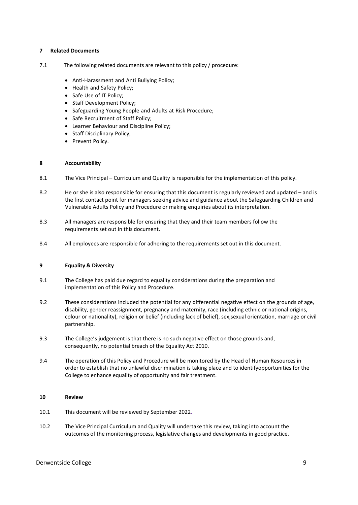# **7 Related Documents**

- 7.1 The following related documents are relevant to this policy / procedure:
	- Anti-Harassment and Anti Bullying Policy;
	- Health and Safety Policy;
	- Safe Use of IT Policy;
	- Staff Development Policy;
	- Safeguarding Young People and Adults at Risk Procedure;
	- Safe Recruitment of Staff Policy;
	- Learner Behaviour and Discipline Policy;
	- Staff Disciplinary Policy;
	- Prevent Policy.

### **8 Accountability**

- 8.1 The Vice Principal Curriculum and Quality is responsible for the implementation of this policy.
- 8.2 He or she is also responsible for ensuring that this document is regularly reviewed and updated and is the first contact point for managers seeking advice and guidance about the Safeguarding Children and Vulnerable Adults Policy and Procedure or making enquiries about its interpretation.
- 8.3 All managers are responsible for ensuring that they and their team members follow the requirements set out in this document.
- 8.4 All employees are responsible for adhering to the requirements set out in this document.

# **9 Equality & Diversity**

- 9.1 The College has paid due regard to equality considerations during the preparation and implementation of this Policy and Procedure.
- 9.2 These considerations included the potential for any differential negative effect on the grounds of age, disability, gender reassignment, pregnancy and maternity, race (including ethnic or national origins, colour or nationality), religion or belief (including lack of belief), sex,sexual orientation, marriage or civil partnership.
- 9.3 The College's judgement is that there is no such negative effect on those grounds and, consequently, no potential breach of the Equality Act 2010.
- 9.4 The operation of this Policy and Procedure will be monitored by the Head of Human Resources in order to establish that no unlawful discrimination is taking place and to identifyopportunities for the College to enhance equality of opportunity and fair treatment.

### **10 Review**

- 10.1 This document will be reviewed by September 2022.
- 10.2 The Vice Principal Curriculum and Quality will undertake this review, taking into account the outcomes of the monitoring process, legislative changes and developments in good practice.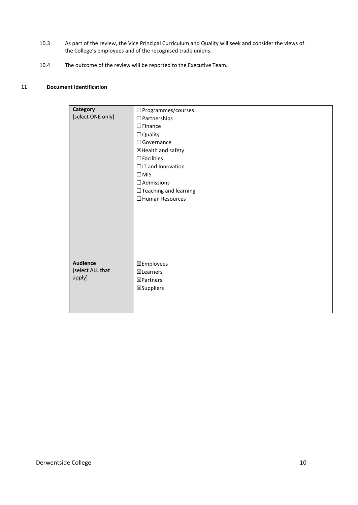- 10.3 As part of the review, the Vice Principal Curriculum and Quality will seek and consider the views of the College's employees and of the recognised trade unions.
- 10.4 The outcome of the review will be reported to the Executive Team.

# **11 Document Identification**

| <b>Category</b><br>[select ONE only]          | $\square$ Programmes/courses<br>$\Box$ Partnerships<br>$\Box$ Finance<br>$\Box$ Quality<br>□ Governance<br>⊠Health and safety<br>$\Box$ Facilities<br>$\Box$ IT and Innovation<br>$\square$ MIS<br>$\Box$ Admissions<br>$\Box$ Teaching and learning<br>□ Human Resources |
|-----------------------------------------------|---------------------------------------------------------------------------------------------------------------------------------------------------------------------------------------------------------------------------------------------------------------------------|
| <b>Audience</b><br>[select ALL that<br>apply] | ⊠Employees<br>⊠Learners<br>⊠Partners<br>⊠Suppliers                                                                                                                                                                                                                        |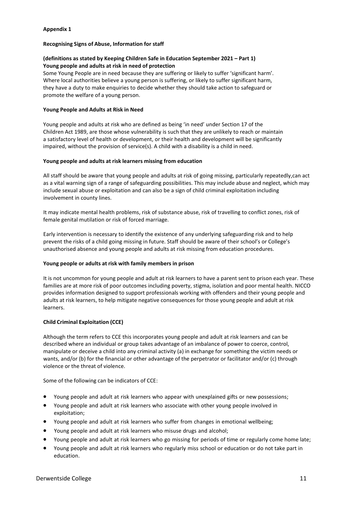# **Appendix 1**

# **Recognising Signs of Abuse, Information for staff**

# **(definitions as stated by Keeping Children Safe in Education September 2021 – Part 1) Young people and adults at risk in need of protection**

Some Young People are in need because they are suffering or likely to suffer 'significant harm'. Where local authorities believe a young person is suffering, or likely to suffer significant harm, they have a duty to make enquiries to decide whether they should take action to safeguard or promote the welfare of a young person.

# **Young People and Adults at Risk in Need**

Young people and adults at risk who are defined as being 'in need' under Section 17 of the Children Act 1989, are those whose vulnerability is such that they are unlikely to reach or maintain a satisfactory level of health or development, or their health and development will be significantly impaired, without the provision of service(s). A child with a disability is a child in need.

# **Young people and adults at risk learners missing from education**

All staff should be aware that young people and adults at risk of going missing, particularly repeatedly,can act as a vital warning sign of a range of safeguarding possibilities. This may include abuse and neglect, which may include sexual abuse or exploitation and can also be a sign of child criminal exploitation including involvement in county lines.

It may indicate mental health problems, risk of substance abuse, risk of travelling to conflict zones, risk of female genital mutilation or risk of forced marriage.

Early intervention is necessary to identify the existence of any underlying safeguarding risk and to help prevent the risks of a child going missing in future. Staff should be aware of their school's or College's unauthorised absence and young people and adults at risk missing from education procedures.

### **Young people or adults at risk with family members in prison**

It is not uncommon for young people and adult at risk learners to have a parent sent to prison each year. These families are at more risk of poor outcomes including poverty, stigma, isolation and poor mental health. NICCO provides information designed to support professionals working with offenders and their young people and adults at risk learners, to help mitigate negative consequences for those young people and adult at risk learners.

# **Child Criminal Exploitation (CCE)**

Although the term refers to CCE this incorporates young people and adult at risk learners and can be described where an individual or group takes advantage of an imbalance of power to coerce, control, manipulate or deceive a child into any criminal activity (a) in exchange for something the victim needs or wants, and/or (b) for the financial or other advantage of the perpetrator or facilitator and/or (c) through violence or the threat of violence.

Some of the following can be indicators of CCE:

- Young people and adult at risk learners who appear with unexplained gifts or new possessions;
- Young people and adult at risk learners who associate with other young people involved in exploitation;
- Young people and adult at risk learners who suffer from changes in emotional wellbeing;
- Young people and adult at risk learners who misuse drugs and alcohol;
- Young people and adult at risk learners who go missing for periods of time or regularly come home late;
- Young people and adult at risk learners who regularly miss school or education or do not take part in education.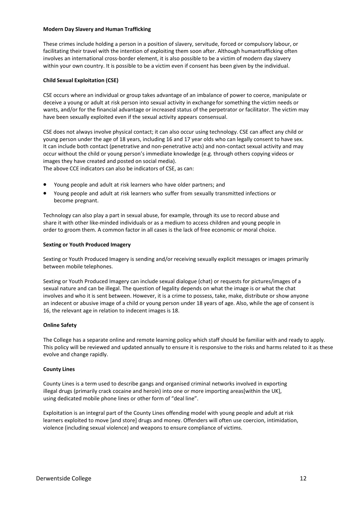# **Modern Day Slavery and Human Trafficking**

These crimes include holding a person in a position of slavery, servitude, forced or compulsory labour, or facilitating their travel with the intention of exploiting them soon after. Although humantrafficking often involves an international cross-border element, it is also possible to be a victim of modern day slavery within your own country. It is possible to be a victim even if consent has been given by the individual.

# **Child Sexual Exploitation (CSE)**

CSE occurs where an individual or group takes advantage of an imbalance of power to coerce, manipulate or deceive a young or adult at risk person into sexual activity in exchange for something the victim needs or wants, and/or for the financial advantage or increased status of the perpetrator or facilitator. The victim may have been sexually exploited even if the sexual activity appears consensual.

CSE does not always involve physical contact; it can also occur using technology. CSE can affect any child or young person under the age of 18 years, including 16 and 17 year olds who can legally consent to have sex. It can include both contact (penetrative and non-penetrative acts) and non-contact sexual activity and may occur without the child or young person's immediate knowledge (e.g. through others copying videos or images they have created and posted on social media).

The above CCE indicators can also be indicators of CSE, as can:

- Young people and adult at risk learners who have older partners; and
- Young people and adult at risk learners who suffer from sexually transmitted infections or become pregnant.

Technology can also play a part in sexual abuse, for example, through its use to record abuse and share it with other like-minded individuals or as a medium to access children and young people in order to groom them. A common factor in all cases is the lack of free economic or moral choice.

# **Sexting or Youth Produced Imagery**

Sexting or Youth Produced Imagery is sending and/or receiving sexually explicit messages or images primarily between mobile telephones.

Sexting or Youth Produced Imagery can include sexual dialogue (chat) or requests for pictures/images of a sexual nature and can be illegal. The question of legality depends on what the image is or what the chat involves and who it is sent between. However, it is a crime to possess, take, make, distribute or show anyone an indecent or abusive image of a child or young person under 18 years of age. Also, while the age of consent is 16, the relevant age in relation to indecent images is 18.

# **Online Safety**

The College has a separate online and remote learning policy which staff should be familiar with and ready to apply. This policy will be reviewed and updated annually to ensure it is responsive to the risks and harms related to it as these evolve and change rapidly.

# **County Lines**

County Lines is a term used to describe gangs and organised criminal networks involved in exporting illegal drugs (primarily crack cocaine and heroin) into one or more importing areas[within the UK], using dedicated mobile phone lines or other form of "deal line".

Exploitation is an integral part of the County Lines offending model with young people and adult at risk learners exploited to move [and store] drugs and money. Offenders will often use coercion, intimidation, violence (including sexual violence) and weapons to ensure compliance of victims.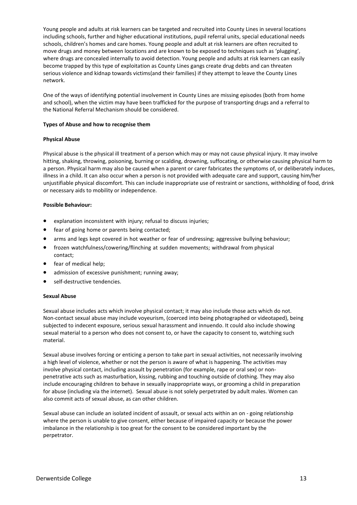Young people and adults at risk learners can be targeted and recruited into County Lines in several locations including schools, further and higher educational institutions, pupil referral units, special educational needs schools, children's homes and care homes. Young people and adult at risk learners are often recruited to move drugs and money between locations and are known to be exposed to techniques such as 'plugging', where drugs are concealed internally to avoid detection. Young people and adults at risk learners can easily become trapped by this type of exploitation as County Lines gangs create drug debts and can threaten serious violence and kidnap towards victims(and their families) if they attempt to leave the County Lines network.

One of the ways of identifying potential involvement in County Lines are missing episodes (both from home and school), when the victim may have been trafficked for the purpose of transporting drugs and a referral to the National Referral Mechanism should be considered.

# **Types of Abuse and how to recognise them**

# **Physical Abuse**

Physical abuse is the physical ill treatment of a person which may or may not cause physical injury. It may involve hitting, shaking, throwing, poisoning, burning or scalding, drowning, suffocating, or otherwise causing physical harm to a person. Physical harm may also be caused when a parent or carer fabricates the symptoms of, or deliberately induces, illness in a child. It can also occur when a person is not provided with adequate care and support, causing him/her unjustifiable physical discomfort. This can include inappropriate use of restraint or sanctions, withholding of food, drink or necessary aids to mobility or independence.

# **Possible Behaviour:**

- explanation inconsistent with injury; refusal to discuss injuries;
- fear of going home or parents being contacted;
- arms and legs kept covered in hot weather or fear of undressing; aggressive bullying behaviour;
- frozen watchfulness/cowering/flinching at sudden movements; withdrawal from physical contact;
- fear of medical help;
- admission of excessive punishment; running away;
- self-destructive tendencies.

# **Sexual Abuse**

Sexual abuse includes acts which involve physical contact; it may also include those acts which do not. Non-contact sexual abuse may include voyeurism, (coerced into being photographed or videotaped), being subjected to indecent exposure, serious sexual harassment and innuendo. It could also include showing sexual material to a person who does not consent to, or have the capacity to consent to, watching such material.

Sexual abuse involves forcing or enticing a person to take part in sexual activities, not necessarily involving a high level of violence, whether or not the person is aware of what is happening. The activities may involve physical contact, including assault by penetration (for example, rape or oral sex) or nonpenetrative acts such as masturbation, kissing, rubbing and touching outside of clothing. They may also include encouraging children to behave in sexually inappropriate ways, or grooming a child in preparation for abuse (including via the internet). Sexual abuse is not solely perpetrated by adult males. Women can also commit acts of sexual abuse, as can other children.

Sexual abuse can include an isolated incident of assault, or sexual acts within an on - going relationship where the person is unable to give consent, either because of impaired capacity or because the power imbalance in the relationship is too great for the consent to be considered important by the perpetrator.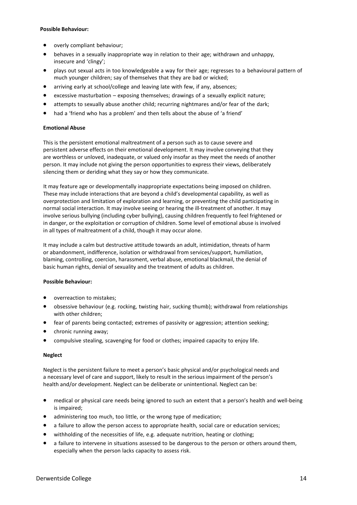# **Possible Behaviour:**

- overly compliant behaviour:
- behaves in a sexually inappropriate way in relation to their age; withdrawn and unhappy, insecure and 'clingy';
- plays out sexual acts in too knowledgeable a way for their age; regresses to a behavioural pattern of much younger children; say of themselves that they are bad or wicked;
- arriving early at school/college and leaving late with few, if any, absences;
- excessive masturbation exposing themselves; drawings of a sexually explicit nature;
- attempts to sexually abuse another child; recurring nightmares and/or fear of the dark;
- had a 'friend who has a problem' and then tells about the abuse of 'a friend'

# **Emotional Abuse**

This is the persistent emotional maltreatment of a person such as to cause severe and persistent adverse effects on their emotional development. It may involve conveying that they are worthless or unloved, inadequate, or valued only insofar as they meet the needs of another person. It may include not giving the person opportunities to express their views, deliberately silencing them or deriding what they say or how they communicate.

It may feature age or developmentally inappropriate expectations being imposed on children. These may include interactions that are beyond a child's developmental capability, as well as overprotection and limitation of exploration and learning, or preventing the child participating in normal social interaction. It may involve seeing or hearing the ill-treatment of another. It may involve serious bullying (including cyber bullying), causing children frequently to feel frightened or in danger, or the exploitation or corruption of children. Some level of emotional abuse is involved in all types of maltreatment of a child, though it may occur alone.

It may include a calm but destructive attitude towards an adult, intimidation, threats of harm or abandonment, indifference, isolation or withdrawal from services/support, humiliation, blaming, controlling, coercion, harassment, verbal abuse, emotional blackmail, the denial of basic human rights, denial of sexuality and the treatment of adults as children.

# **Possible Behaviour:**

- overreaction to mistakes;
- obsessive behaviour (e.g. rocking, twisting hair, sucking thumb); withdrawal from relationships with other children;
- fear of parents being contacted; extremes of passivity or aggression; attention seeking;
- chronic running away;
- compulsive stealing, scavenging for food or clothes; impaired capacity to enjoy life.

# **Neglect**

Neglect is the persistent failure to meet a person's basic physical and/or psychological needs and a necessary level of care and support, likely to result in the serious impairment of the person's health and/or development. Neglect can be deliberate or unintentional. Neglect can be:

- medical or physical care needs being ignored to such an extent that a person's health and well-being is impaired;
- administering too much, too little, or the wrong type of medication;
- a failure to allow the person access to appropriate health, social care or education services;
- withholding of the necessities of life, e.g. adequate nutrition, heating or clothing;
- a failure to intervene in situations assessed to be dangerous to the person or others around them, especially when the person lacks capacity to assess risk.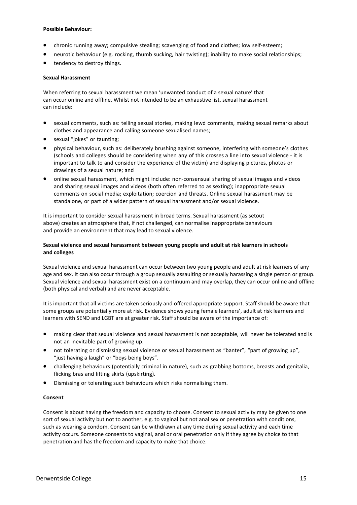### **Possible Behaviour:**

- chronic running away; compulsive stealing; scavenging of food and clothes; low self-esteem;
- neurotic behaviour (e.g. rocking, thumb sucking, hair twisting); inability to make social relationships;
- tendency to destroy things.

# **Sexual Harassment**

When referring to sexual harassment we mean 'unwanted conduct of a sexual nature' that can occur online and offline. Whilst not intended to be an exhaustive list, sexual harassment can include:

- sexual comments, such as: telling sexual stories, making lewd comments, making sexual remarks about clothes and appearance and calling someone sexualised names;
- sexual "jokes" or taunting;
- physical behaviour, such as: deliberately brushing against someone, interfering with someone's clothes (schools and colleges should be considering when any of this crosses a line into sexual violence - it is important to talk to and consider the experience of the victim) and displaying pictures, photos or drawings of a sexual nature; and
- online sexual harassment, which might include: non-consensual sharing of sexual images and videos and sharing sexual images and videos (both often referred to as sexting); inappropriate sexual comments on social media; exploitation; coercion and threats. Online sexual harassment may be standalone, or part of a wider pattern of sexual harassment and/or sexual violence.

It is important to consider sexual harassment in broad terms. Sexual harassment (as setout above) creates an atmosphere that, if not challenged, can normalise inappropriate behaviours and provide an environment that may lead to sexual violence.

# **Sexual violence and sexual harassment between young people and adult at risk learners in schools and colleges**

Sexual violence and sexual harassment can occur between two young people and adult at risk learners of any age and sex. It can also occur through a group sexually assaulting or sexually harassing a single person or group. Sexual violence and sexual harassment exist on a continuum and may overlap, they can occur online and offline (both physical and verbal) and are never acceptable.

It is important that all victims are taken seriously and offered appropriate support. Staff should be aware that some groups are potentially more at risk. Evidence shows young female learners', adult at risk learners and learners with SEND and LGBT are at greater risk. Staff should be aware of the importance of:

- making clear that sexual violence and sexual harassment is not acceptable, will never be tolerated and is not an inevitable part of growing up.
- not tolerating or dismissing sexual violence or sexual harassment as "banter", "part of growing up", "just having a laugh" or "boys being boys".
- challenging behaviours (potentially criminal in nature), such as grabbing bottoms, breasts and genitalia, flicking bras and lifting skirts (upskirting).
- Dismissing or tolerating such behaviours which risks normalising them.

# **Consent**

Consent is about having the freedom and capacity to choose. Consent to sexual activity may be given to one sort of sexual activity but not to another, e.g. to vaginal but not anal sex or penetration with conditions, such as wearing a condom. Consent can be withdrawn at any time during sexual activity and each time activity occurs. Someone consents to vaginal, anal or oral penetration only if they agree by choice to that penetration and has the freedom and capacity to make that choice.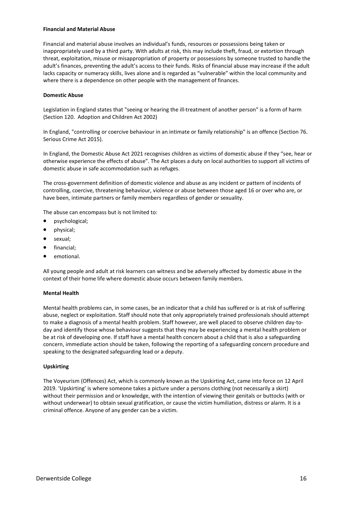# **Financial and Material Abuse**

Financial and material abuse involves an individual's funds, resources or possessions being taken or inappropriately used by a third party. With adults at risk, this may include theft, fraud, or extortion through threat, exploitation, misuse or misappropriation of property or possessions by someone trusted to handle the adult's finances, preventing the adult's access to their funds. Risks of financial abuse may increase if the adult lacks capacity or numeracy skills, lives alone and is regarded as "vulnerable" within the local community and where there is a dependence on other people with the management of finances.

# **Domestic Abuse**

Legislation in England states that "seeing or hearing the ill-treatment of another person" is a form of harm (Section 120. Adoption and Children Act 2002)

In England, "controlling or coercive behaviour in an intimate or family relationship" is an offence (Section 76. Serious Crime Act 2015).

In England, the Domestic Abuse Act 2021 recognises children as victims of domestic abuse if they "see, hear or otherwise experience the effects of abuse". The Act places a duty on local authorities to support all victims of domestic abuse in safe accommodation such as refuges.

The cross-government definition of domestic violence and abuse as any incident or pattern of incidents of controlling, coercive, threatening behaviour, violence or abuse between those aged 16 or over who are, or have been, intimate partners or family members regardless of gender or sexuality.

The abuse can encompass but is not limited to:

- psychological;
- physical;
- sexual;
- financial;
- emotional.

All young people and adult at risk learners can witness and be adversely affected by domestic abuse in the context of their home life where domestic abuse occurs between family members.

### **Mental Health**

Mental health problems can, in some cases, be an indicator that a child has suffered or is at risk of suffering abuse, neglect or exploitation. Staff should note that only appropriately trained professionals should attempt to make a diagnosis of a mental health problem. Staff however, are well placed to observe children day-today and identify those whose behaviour suggests that they may be experiencing a mental health problem or be at risk of developing one. If staff have a mental health concern about a child that is also a safeguarding concern, immediate action should be taken, following the reporting of a safeguarding concern procedure and speaking to the designated safeguarding lead or a deputy.

### **Upskirting**

The Voyeurism (Offences) Act, which is commonly known as the Upskirting Act, came into force on 12 April 2019. 'Upskirting' is where someone takes a picture under a persons clothing (not necessarily a skirt) without their permission and or knowledge, with the intention of viewing their genitals or buttocks (with or without underwear) to obtain sexual gratification, or cause the victim humiliation, distress or alarm. It is a criminal offence. Anyone of any gender can be a victim.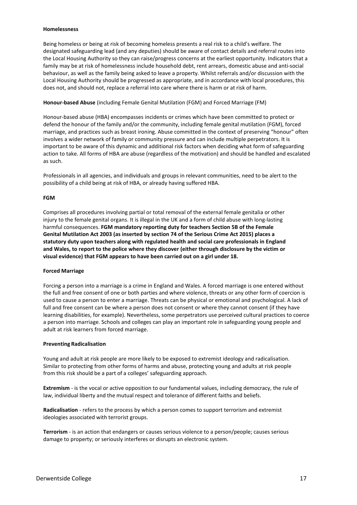### **Homelessness**

Being homeless or being at risk of becoming homeless presents a real risk to a child's welfare. The designated safeguarding lead (and any deputies) should be aware of contact details and referral routes into the Local Housing Authority so they can raise/progress concerns at the earliest opportunity. Indicators that a family may be at risk of homelessness include household debt, rent arrears, domestic abuse and anti-social behaviour, as well as the family being asked to leave a property. Whilst referrals and/or discussion with the Local Housing Authority should be progressed as appropriate, and in accordance with local procedures, this does not, and should not, replace a referral into care where there is harm or at risk of harm.

# **Honour-based Abuse** (including Female Genital Mutilation (FGM) and Forced Marriage (FM)

Honour-based abuse (HBA) encompasses incidents or crimes which have been committed to protect or defend the honour of the family and/or the community, including female genital mutilation (FGM), forced marriage, and practices such as breast ironing. Abuse committed in the context of preserving "honour" often involves a wider network of family or community pressure and can include multiple perpetrators. It is important to be aware of this dynamic and additional risk factors when deciding what form of safeguarding action to take. All forms of HBA are abuse (regardless of the motivation) and should be handled and escalated as such.

Professionals in all agencies, and individuals and groups in relevant communities, need to be alert to the possibility of a child being at risk of HBA, or already having suffered HBA.

### **FGM**

Comprises all procedures involving partial or total removal of the external female genitalia or other injury to the female genital organs. It is illegal in the UK and a form of child abuse with long-lasting harmful consequences. **FGM mandatory reporting duty for teachers Section 5B of the Female Genital Mutilation Act 2003 (as inserted by section 74 of the Serious Crime Act 2015) places a statutory duty upon teachers along with regulated health and social care professionals in England and Wales, to report to the police where they discover (either through disclosure by the victim or visual evidence) that FGM appears to have been carried out on a girl under 18.**

### **Forced Marriage**

Forcing a person into a marriage is a crime in England and Wales. A forced marriage is one entered without the full and free consent of one or both parties and where violence, threats or any other form of coercion is used to cause a person to enter a marriage. Threats can be physical or emotional and psychological. A lack of full and free consent can be where a person does not consent or where they cannot consent (if they have learning disabilities, for example). Nevertheless, some perpetrators use perceived cultural practices to coerce a person into marriage. Schools and colleges can play an important role in safeguarding young people and adult at risk learners from forced marriage.

### **Preventing Radicalisation**

Young and adult at risk people are more likely to be exposed to extremist ideology and radicalisation. Similar to protecting from other forms of harms and abuse, protecting young and adults at risk people from this risk should be a part of a colleges' safeguarding approach.

**Extremism** - is the vocal or active opposition to our fundamental values, including democracy, the rule of law, individual liberty and the mutual respect and tolerance of different faiths and beliefs.

**Radicalisation** - refers to the process by which a person comes to support terrorism and extremist ideologies associated with terrorist groups.

**Terrorism** - is an action that endangers or causes serious violence to a person/people; causes serious damage to property; or seriously interferes or disrupts an electronic system.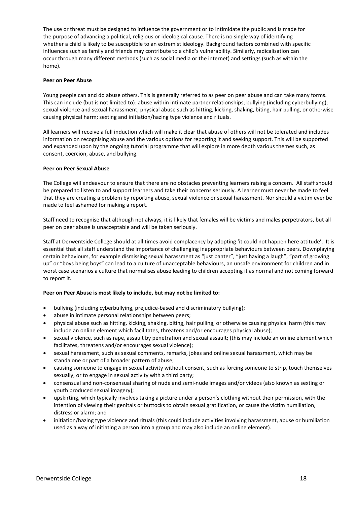The use or threat must be designed to influence the government or to intimidate the public and is made for the purpose of advancing a political, religious or ideological cause. There is no single way of identifying whether a child is likely to be susceptible to an extremist ideology. Background factors combined with specific influences such as family and friends may contribute to a child's vulnerability. Similarly, radicalisation can occur through many different methods (such as social media or the internet) and settings (such as within the home).

### **Peer on Peer Abuse**

Young people can and do abuse others. This is generally referred to as peer on peer abuse and can take many forms. This can include (but is not limited to): abuse within intimate partner relationships; bullying (including cyberbullying); sexual violence and sexual harassment; physical abuse such as hitting, kicking, shaking, biting, hair pulling, or otherwise causing physical harm; sexting and initiation/hazing type violence and rituals.

All learners will receive a full induction which will make it clear that abuse of others will not be tolerated and includes information on recognising abuse and the various options for reporting it and seeking support. This will be supported and expanded upon by the ongoing tutorial programme that will explore in more depth various themes such, as consent, coercion, abuse, and bullying.

# **Peer on Peer Sexual Abuse**

The College will endeavour to ensure that there are no obstacles preventing learners raising a concern. All staff should be prepared to listen to and support learners and take their concerns seriously. A learner must never be made to feel that they are creating a problem by reporting abuse, sexual violence or sexual harassment. Nor should a victim ever be made to feel ashamed for making a report.

Staff need to recognise that although not always, it is likely that females will be victims and males perpetrators, but all peer on peer abuse is unacceptable and will be taken seriously.

Staff at Derwentside College should at all times avoid complacency by adopting 'it could not happen here attitude'. It is essential that all staff understand the importance of challenging inappropriate behaviours between peers. Downplaying certain behaviours, for example dismissing sexual harassment as "just banter", "just having a laugh", "part of growing up" or "boys being boys" can lead to a culture of unacceptable behaviours, an unsafe environment for children and in worst case scenarios a culture that normalises abuse leading to children accepting it as normal and not coming forward to report it.

# **Peer on Peer Abuse is most likely to include, but may not be limited to:**

- bullying (including cyberbullying, prejudice-based and discriminatory bullying);
- abuse in intimate personal relationships between peers;
- physical abuse such as hitting, kicking, shaking, biting, hair pulling, or otherwise causing physical harm (this may include an online element which facilitates, threatens and/or encourages physical abuse);
- sexual violence, such as rape, assault by penetration and sexual assault; (this may include an online element which facilitates, threatens and/or encourages sexual violence);
- sexual harassment, such as sexual comments, remarks, jokes and online sexual harassment, which may be standalone or part of a broader pattern of abuse;
- causing someone to engage in sexual activity without consent, such as forcing someone to strip, touch themselves sexually, or to engage in sexual activity with a third party;
- consensual and non-consensual sharing of nude and semi-nude images and/or videos (also known as sexting or youth produced sexual imagery);
- upskirting, which typically involves taking a picture under a person's clothing without their permission, with the intention of viewing their genitals or buttocks to obtain sexual gratification, or cause the victim humiliation, distress or alarm; and
- initiation/hazing type violence and rituals (this could include activities involving harassment, abuse or humiliation used as a way of initiating a person into a group and may also include an online element).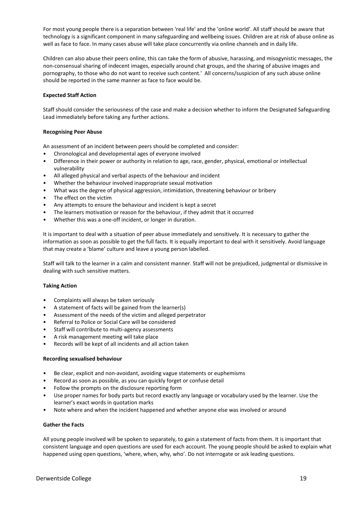For most young people there is a separation between 'real life' and the 'online world'. All staff should be aware that technology is a significant component in many safeguarding and wellbeing issues. Children are at risk of abuse online as well as face to face. In many cases abuse will take place concurrently via online channels and in daily life.

Children can also abuse their peers online, this can take the form of abusive, harassing, and misogynistic messages, the non-consensual sharing of indecent images, especially around chat groups, and the sharing of abusive images and pornography, to those who do not want to receive such content.' All concerns/suspicion of any such abuse online should be reported in the same manner as face to face would be.

# **Expected Staff Action**

Staff should consider the seriousness of the case and make a decision whether to inform the Designated Safeguarding Lead immediately before taking any further actions.

# **Recognising Peer Abuse**

An assessment of an incident between peers should be completed and consider:

- Chronological and developmental ages of everyone involved
- Difference in their power or authority in relation to age, race, gender, physical, emotional or intellectual vulnerability
- All alleged physical and verbal aspects of the behaviour and incident
- Whether the behaviour involved inappropriate sexual motivation
- What was the degree of physical aggression, intimidation, threatening behaviour or bribery
- The effect on the victim
- Any attempts to ensure the behaviour and incident is kept a secret
- The learners motivation or reason for the behaviour, if they admit that it occurred
- Whether this was a one-off incident, or longer in duration.

It is important to deal with a situation of peer abuse immediately and sensitively. It is necessary to gather the information as soon as possible to get the full facts. It is equally important to deal with it sensitively. Avoid language that may create a 'blame' culture and leave a young person labelled.

Staff will talk to the learner in a calm and consistent manner. Staff will not be prejudiced, judgmental or dismissive in dealing with such sensitive matters.

# **Taking Action**

- Complaints will always be taken seriously
- A statement of facts will be gained from the learner(s)
- Assessment of the needs of the victim and alleged perpetrator
- Referral to Police or Social Care will be considered
- Staff will contribute to multi-agency assessments
- A risk management meeting will take place
- Records will be kept of all incidents and all action taken

# **Recording sexualised behaviour**

- Be clear, explicit and non-avoidant, avoiding vague statements or euphemisms
- Record as soon as possible, as you can quickly forget or confuse detail
- Follow the prompts on the disclosure reporting form
- Use proper names for body parts but record exactly any language or vocabulary used by the learner. Use the learner's exact words in quotation marks
- Note where and when the incident happened and whether anyone else was involved or around

# **Gather the Facts**

All young people involved will be spoken to separately, to gain a statement of facts from them. It is important that consistent language and open questions are used for each account. The young people should be asked to explain what happened using open questions, 'where, when, why, who'. Do not interrogate or ask leading questions.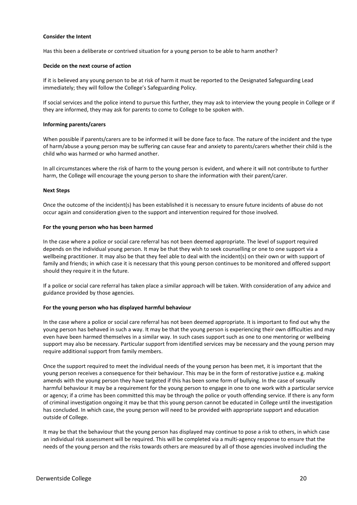# **Consider the Intent**

Has this been a deliberate or contrived situation for a young person to be able to harm another?

### **Decide on the next course of action**

If it is believed any young person to be at risk of harm it must be reported to the Designated Safeguarding Lead immediately; they will follow the College's Safeguarding Policy.

If social services and the police intend to pursue this further, they may ask to interview the young people in College or if they are informed, they may ask for parents to come to College to be spoken with.

### **Informing parents/carers**

When possible if parents/carers are to be informed it will be done face to face. The nature of the incident and the type of harm/abuse a young person may be suffering can cause fear and anxiety to parents/carers whether their child is the child who was harmed or who harmed another.

In all circumstances where the risk of harm to the young person is evident, and where it will not contribute to further harm, the College will encourage the young person to share the information with their parent/carer.

# **Next Steps**

Once the outcome of the incident(s) has been established it is necessary to ensure future incidents of abuse do not occur again and consideration given to the support and intervention required for those involved.

### **For the young person who has been harmed**

In the case where a police or social care referral has not been deemed appropriate. The level of support required depends on the individual young person. It may be that they wish to seek counselling or one to one support via a wellbeing practitioner. It may also be that they feel able to deal with the incident(s) on their own or with support of family and friends; in which case it is necessary that this young person continues to be monitored and offered support should they require it in the future.

If a police or social care referral has taken place a similar approach will be taken. With consideration of any advice and guidance provided by those agencies.

# **For the young person who has displayed harmful behaviour**

In the case where a police or social care referral has not been deemed appropriate. It is important to find out why the young person has behaved in such a way. It may be that the young person is experiencing their own difficulties and may even have been harmed themselves in a similar way. In such cases support such as one to one mentoring or wellbeing support may also be necessary. Particular support from identified services may be necessary and the young person may require additional support from family members.

Once the support required to meet the individual needs of the young person has been met, it is important that the young person receives a consequence for their behaviour. This may be in the form of restorative justice e.g. making amends with the young person they have targeted if this has been some form of bullying. In the case of sexually harmful behaviour it may be a requirement for the young person to engage in one to one work with a particular service or agency; if a crime has been committed this may be through the police or youth offending service. If there is any form of criminal investigation ongoing it may be that this young person cannot be educated in College until the investigation has concluded. In which case, the young person will need to be provided with appropriate support and education outside of College.

It may be that the behaviour that the young person has displayed may continue to pose a risk to others, in which case an individual risk assessment will be required. This will be completed via a multi-agency response to ensure that the needs of the young person and the risks towards others are measured by all of those agencies involved including the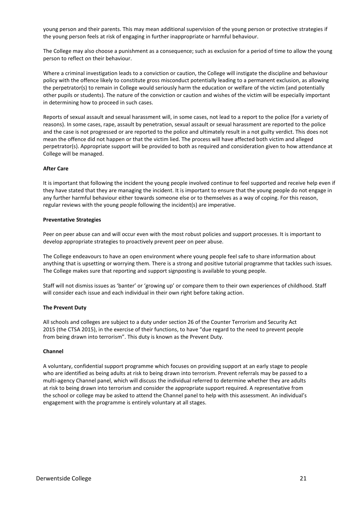young person and their parents. This may mean additional supervision of the young person or protective strategies if the young person feels at risk of engaging in further inappropriate or harmful behaviour.

The College may also choose a punishment as a consequence; such as exclusion for a period of time to allow the young person to reflect on their behaviour.

Where a criminal investigation leads to a conviction or caution, the College will instigate the discipline and behaviour policy with the offence likely to constitute gross misconduct potentially leading to a permanent exclusion, as allowing the perpetrator(s) to remain in College would seriously harm the education or welfare of the victim (and potentially other pupils or students). The nature of the conviction or caution and wishes of the victim will be especially important in determining how to proceed in such cases.

Reports of sexual assault and sexual harassment will, in some cases, not lead to a report to the police (for a variety of reasons). In some cases, rape, assault by penetration, sexual assault or sexual harassment are reported to the police and the case is not progressed or are reported to the police and ultimately result in a not guilty verdict. This does not mean the offence did not happen or that the victim lied. The process will have affected both victim and alleged perpetrator(s). Appropriate support will be provided to both as required and consideration given to how attendance at College will be managed.

### **After Care**

It is important that following the incident the young people involved continue to feel supported and receive help even if they have stated that they are managing the incident. It is important to ensure that the young people do not engage in any further harmful behaviour either towards someone else or to themselves as a way of coping. For this reason, regular reviews with the young people following the incident(s) are imperative.

### **Preventative Strategies**

Peer on peer abuse can and will occur even with the most robust policies and support processes. It is important to develop appropriate strategies to proactively prevent peer on peer abuse.

The College endeavours to have an open environment where young people feel safe to share information about anything that is upsetting or worrying them. There is a strong and positive tutorial programme that tackles such issues. The College makes sure that reporting and support signposting is available to young people.

Staff will not dismiss issues as 'banter' or 'growing up' or compare them to their own experiences of childhood. Staff will consider each issue and each individual in their own right before taking action.

### **The Prevent Duty**

All schools and colleges are subject to a duty under section 26 of the Counter Terrorism and Security Act 2015 (the CTSA 2015), in the exercise of their functions, to have "due regard to the need to prevent people from being drawn into terrorism". This duty is known as the Prevent Duty.

### **Channel**

A voluntary, confidential support programme which focuses on providing support at an early stage to people who are identified as being adults at risk to being drawn into terrorism. Prevent referrals may be passed to a multi-agency Channel panel, which will discuss the individual referred to determine whether they are adults at risk to being drawn into terrorism and consider the appropriate support required. A representative from the school or college may be asked to attend the Channel panel to help with this assessment. An individual's engagement with the programme is entirely voluntary at all stages.